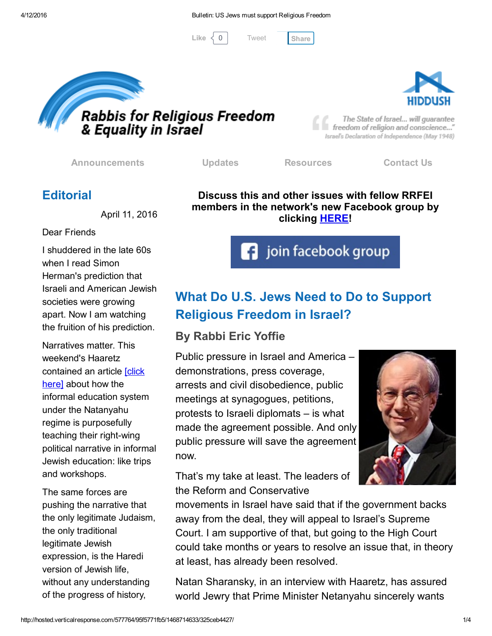[Tweet](https://twitter.com/intent/tweet?original_referer=http%3A%2F%2Fhosted.verticalresponse.com%2F577764%2F95f5771fb5%2F1468714633%2F325ceb4427%2F&ref_src=twsrc%5Etfw&text=Bulletin%3A%20US%20Jews%20must%20support%20Religious%20Freedom%3A&tw_p=tweetbutton&url=http%3A%2F%2Fhosted-p0.vresp.com%2F577764%2F95f5771fb5%2FARCHIVE%23.Vwzs5SAgq9Q.twitter)

Like  $\langle 0 |$  Tweet [Share](javascript:void(0);)



**Rabbis for Religious Freedom<br>& Equality in Israel** 

The State of Israel... will guarantee freedom of religion and conscience..." Israel's Declaration of Independence (May 1948)

[Announcements](http://cts.vresp.com/c/?FreedomofReligionfor/95f5771fb5/325ceb4427/02bd5d536c) [Updates](http://cts.vresp.com/c/?FreedomofReligionfor/95f5771fb5/325ceb4427/abb5915f4e) [Resources](http://cts.vresp.com/c/?FreedomofReligionfor/95f5771fb5/325ceb4427/46ac204ed8) [Contact](http://cts.vresp.com/c/?FreedomofReligionfor/95f5771fb5/325ceb4427/e9a0d917a4) Us

# **Editorial**

April 11, 2016

Dear Friends

I shuddered in the late 60s when I read Simon Herman's prediction that Israeli and American Jewish societies were growing apart. Now I am watching the fruition of his prediction.

Narratives matter. This weekend's Haaretz [contained](http://cts.vresp.com/c/?FreedomofReligionfor/95f5771fb5/325ceb4427/b56fca4583) an article [click here] about how the informal education system under the Natanyahu regime is purposefully teaching their right-wing political narrative in informal Jewish education: like trips and workshops.

The same forces are pushing the narrative that the only legitimate Judaism, the only traditional legitimate Jewish expression, is the Haredi version of Jewish life, without any understanding of the progress of history,

Discuss this and other issues with fellow RRFEI members in the network's new Facebook group by clicking **[HERE!](http://cts.vresp.com/c/?FreedomofReligionfor/95f5771fb5/325ceb4427/1a2c97c99a)** 

**f** join facebook group

# What Do U.S. Jews Need to Do to Support Religious Freedom in Israel?

## By Rabbi Eric Yoffie

Public pressure in Israel and America – demonstrations, press coverage, arrests and civil disobedience, public meetings at synagogues, petitions, protests to Israeli diplomats – is what made the agreement possible. And only public pressure will save the agreement now.

That's my take at least. The leaders of the Reform and Conservative

movements in Israel have said that if the government backs away from the deal, they will appeal to Israel's Supreme Court. I am supportive of that, but going to the High Court could take months or years to resolve an issue that, in theory at least, has already been resolved.

Natan Sharansky, in an interview with Haaretz, has assured world Jewry that Prime Minister Netanyahu sincerely wants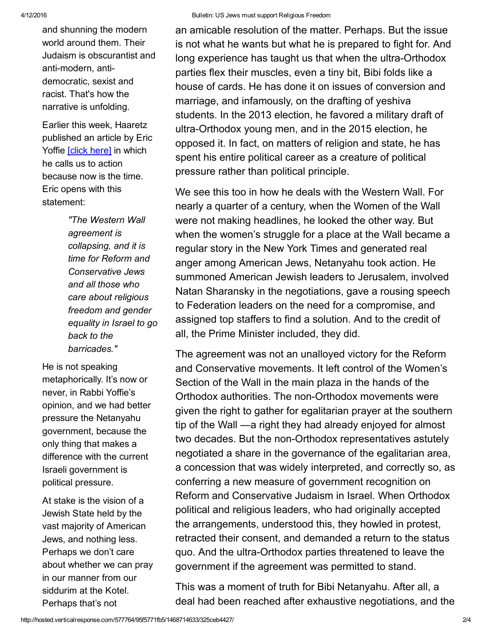and shunning the modern world around them. Their Judaism is obscurantist and anti-modern, antidemocratic, sexist and racist. That's how the narrative is unfolding.

Earlier this week, Haaretz published an article by Eric Yoffie [click [here\]](http://cts.vresp.com/c/?FreedomofReligionfor/95f5771fb5/325ceb4427/d1d2b1acda) in which he calls us to action because now is the time. Eric opens with this statement:

> *"The Western Wall agreement is collapsing, and it is time for Reform and Conservative Jews and all those who care about religious freedom and gender equality in Israel to go back to the barricades."*

He is not speaking metaphorically. It's now or never, in Rabbi Yoffie's opinion, and we had better pressure the Netanyahu government, because the only thing that makes a difference with the current Israeli government is political pressure.

At stake is the vision of a Jewish State held by the vast majority of American Jews, and nothing less. Perhaps we don't care about whether we can pray in our manner from our siddurim at the Kotel. Perhaps that's not

an amicable resolution of the matter. Perhaps. But the issue is not what he wants but what he is prepared to fight for. And long experience has taught us that when the ultra-Orthodox parties flex their muscles, even a tiny bit, Bibi folds like a house of cards. He has done it on issues of conversion and marriage, and infamously, on the drafting of yeshiva students. In the 2013 election, he favored a military draft of ultra-Orthodox young men, and in the 2015 election, he opposed it. In fact, on matters of religion and state, he has spent his entire political career as a creature of political pressure rather than political principle.

We see this too in how he deals with the Western Wall. For nearly a quarter of a century, when the Women of the Wall were not making headlines, he looked the other way. But when the women's struggle for a place at the Wall became a regular story in the New York Times and generated real anger among American Jews, Netanyahu took action. He summoned American Jewish leaders to Jerusalem, involved Natan Sharansky in the negotiations, gave a rousing speech to Federation leaders on the need for a compromise, and assigned top staffers to find a solution. And to the credit of all, the Prime Minister included, they did.

The agreement was not an unalloyed victory for the Reform and Conservative movements. It left control of the Women's Section of the Wall in the main plaza in the hands of the Orthodox authorities. The non-Orthodox movements were given the right to gather for egalitarian prayer at the southern tip of the Wall —a right they had already enjoyed for almost two decades. But the non-Orthodox representatives astutely negotiated a share in the governance of the egalitarian area, a concession that was widely interpreted, and correctly so, as conferring a new measure of government recognition on Reform and Conservative Judaism in Israel. When Orthodox political and religious leaders, who had originally accepted the arrangements, understood this, they howled in protest, retracted their consent, and demanded a return to the status quo. And the ultra-Orthodox parties threatened to leave the government if the agreement was permitted to stand.

This was a moment of truth for Bibi Netanyahu. After all, a deal had been reached after exhaustive negotiations, and the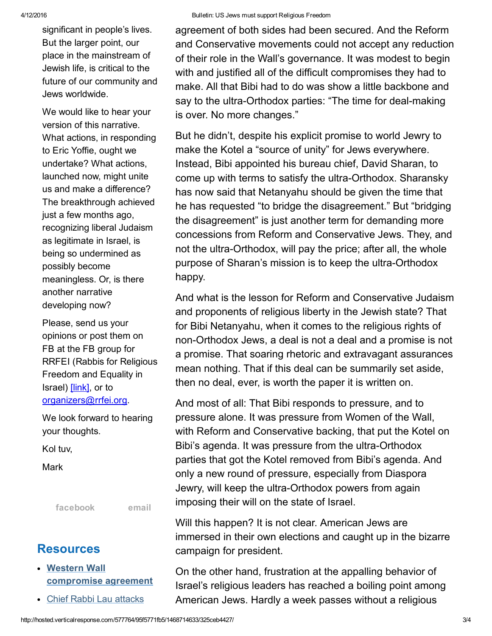significant in people's lives. But the larger point, our place in the mainstream of Jewish life, is critical to the future of our community and Jews worldwide.

We would like to hear your version of this narrative. What actions, in responding to Eric Yoffie, ought we undertake? What actions, launched now, might unite us and make a difference? The breakthrough achieved just a few months ago, recognizing liberal Judaism as legitimate in Israel, is being so undermined as possibly become meaningless. Or, is there another narrative developing now?

Please, send us your opinions or post them on FB at the FB group for RRFEI (Rabbis for Religious Freedom and Equality in Israel) [\[link\]](http://cts.vresp.com/c/?FreedomofReligionfor/95f5771fb5/325ceb4427/cea227606f), or to [organizers@rrfei.org.](mailto:organizers@rrfei.org)

We look forward to hearing your thoughts.

Kol tuv,

**Mark** 

[facebook](http://cts.vresp.com/c/?FreedomofReligionfor/95f5771fb5/325ceb4427/7c4d33e562) [email](mailto:organizers@rrfei.org)

### **Resources**

- Western Wall [compromise](http://cts.vresp.com/c/?FreedomofReligionfor/95f5771fb5/325ceb4427/d98d634a8d) agreement
- Chief Rabbi Lau [attacks](http://cts.vresp.com/c/?FreedomofReligionfor/95f5771fb5/325ceb4427/b4dedb3710)

agreement of both sides had been secured. And the Reform and Conservative movements could not accept any reduction of their role in the Wall's governance. It was modest to begin with and justified all of the difficult compromises they had to make. All that Bibi had to do was show a little backbone and say to the ultra-Orthodox parties: "The time for deal-making is over. No more changes."

But he didn't, despite his explicit promise to world Jewry to make the Kotel a "source of unity" for Jews everywhere. Instead, Bibi appointed his bureau chief, David Sharan, to come up with terms to satisfy the ultra-Orthodox. Sharansky has now said that Netanyahu should be given the time that he has requested "to bridge the disagreement." But "bridging the disagreement" is just another term for demanding more concessions from Reform and Conservative Jews. They, and not the ultra-Orthodox, will pay the price; after all, the whole purpose of Sharan's mission is to keep the ultra-Orthodox happy.

And what is the lesson for Reform and Conservative Judaism and proponents of religious liberty in the Jewish state? That for Bibi Netanyahu, when it comes to the religious rights of non-Orthodox Jews, a deal is not a deal and a promise is not a promise. That soaring rhetoric and extravagant assurances mean nothing. That if this deal can be summarily set aside, then no deal, ever, is worth the paper it is written on.

And most of all: That Bibi responds to pressure, and to pressure alone. It was pressure from Women of the Wall, with Reform and Conservative backing, that put the Kotel on Bibi's agenda. It was pressure from the ultra-Orthodox parties that got the Kotel removed from Bibi's agenda. And only a new round of pressure, especially from Diaspora Jewry, will keep the ultra-Orthodox powers from again imposing their will on the state of Israel.

Will this happen? It is not clear. American Jews are immersed in their own elections and caught up in the bizarre campaign for president.

On the other hand, frustration at the appalling behavior of Israel's religious leaders has reached a boiling point among American Jews. Hardly a week passes without a religious